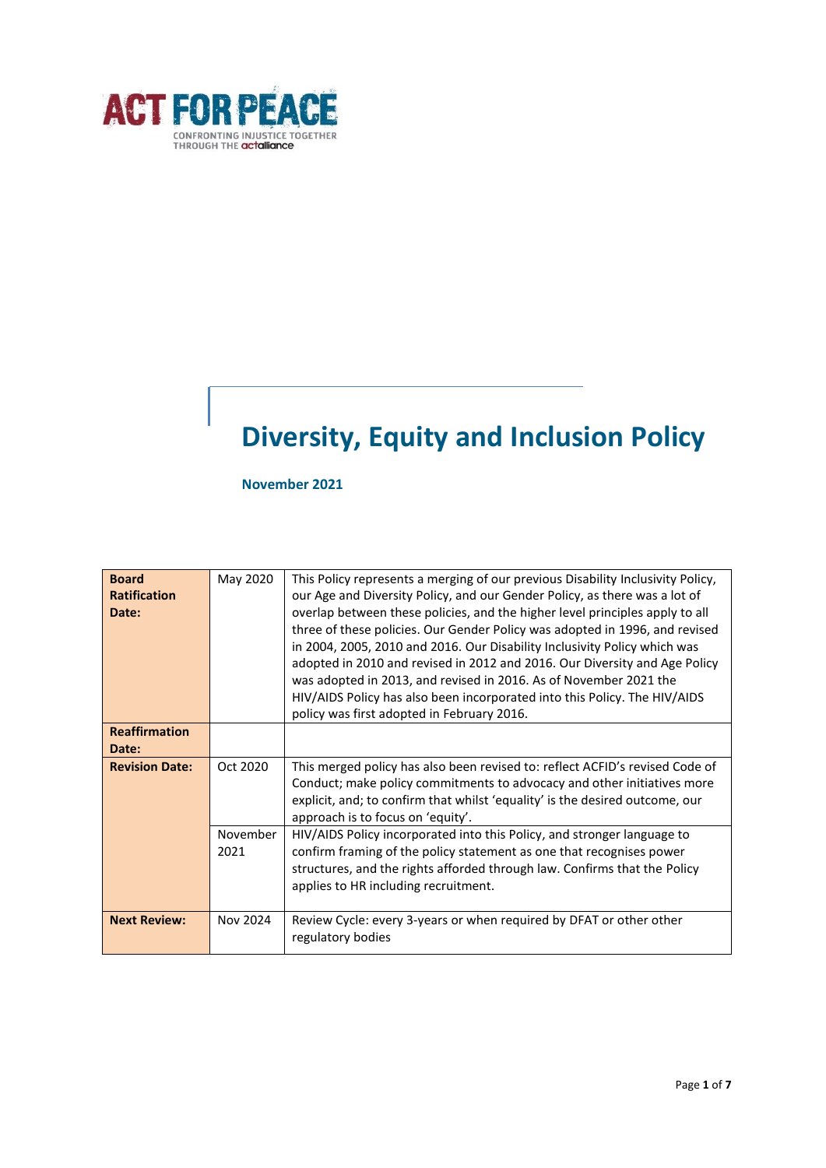

# **Diversity, Equity and Inclusion Policy**

**November 2021**

| <b>Board</b><br><b>Ratification</b><br>Date: | May 2020         | This Policy represents a merging of our previous Disability Inclusivity Policy,<br>our Age and Diversity Policy, and our Gender Policy, as there was a lot of<br>overlap between these policies, and the higher level principles apply to all<br>three of these policies. Our Gender Policy was adopted in 1996, and revised<br>in 2004, 2005, 2010 and 2016. Our Disability Inclusivity Policy which was<br>adopted in 2010 and revised in 2012 and 2016. Our Diversity and Age Policy<br>was adopted in 2013, and revised in 2016. As of November 2021 the<br>HIV/AIDS Policy has also been incorporated into this Policy. The HIV/AIDS<br>policy was first adopted in February 2016. |
|----------------------------------------------|------------------|-----------------------------------------------------------------------------------------------------------------------------------------------------------------------------------------------------------------------------------------------------------------------------------------------------------------------------------------------------------------------------------------------------------------------------------------------------------------------------------------------------------------------------------------------------------------------------------------------------------------------------------------------------------------------------------------|
| <b>Reaffirmation</b><br>Date:                |                  |                                                                                                                                                                                                                                                                                                                                                                                                                                                                                                                                                                                                                                                                                         |
| <b>Revision Date:</b>                        | Oct 2020         | This merged policy has also been revised to: reflect ACFID's revised Code of<br>Conduct; make policy commitments to advocacy and other initiatives more<br>explicit, and; to confirm that whilst 'equality' is the desired outcome, our<br>approach is to focus on 'equity'.                                                                                                                                                                                                                                                                                                                                                                                                            |
|                                              | November<br>2021 | HIV/AIDS Policy incorporated into this Policy, and stronger language to<br>confirm framing of the policy statement as one that recognises power<br>structures, and the rights afforded through law. Confirms that the Policy<br>applies to HR including recruitment.                                                                                                                                                                                                                                                                                                                                                                                                                    |
| <b>Next Review:</b>                          | Nov 2024         | Review Cycle: every 3-years or when required by DFAT or other other<br>regulatory bodies                                                                                                                                                                                                                                                                                                                                                                                                                                                                                                                                                                                                |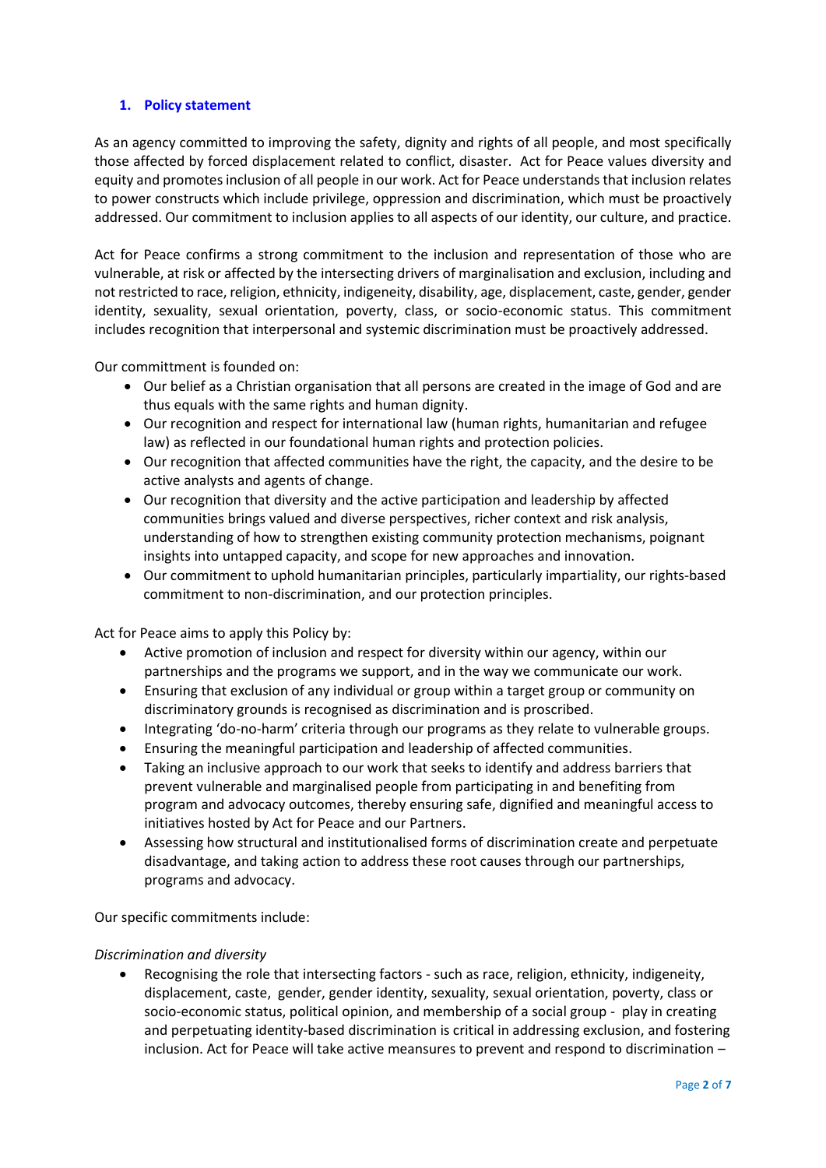## **1. Policy statement**

As an agency committed to improving the safety, dignity and rights of all people, and most specifically those affected by forced displacement related to conflict, disaster. Act for Peace values diversity and equity and promotes inclusion of all people in our work. Act for Peace understands that inclusion relates to power constructs which include privilege, oppression and discrimination, which must be proactively addressed. Our commitment to inclusion applies to all aspects of our identity, our culture, and practice.

Act for Peace confirms a strong commitment to the inclusion and representation of those who are vulnerable, at risk or affected by the intersecting drivers of marginalisation and exclusion, including and not restricted to race, religion, ethnicity, indigeneity, disability, age, displacement, caste, gender, gender identity, sexuality, sexual orientation, poverty, class, or socio-economic status. This commitment includes recognition that interpersonal and systemic discrimination must be proactively addressed.

Our committment is founded on:

- Our belief as a Christian organisation that all persons are created in the image of God and are thus equals with the same rights and human dignity.
- Our recognition and respect for international law (human rights, humanitarian and refugee law) as reflected in our foundational human rights and protection policies.
- Our recognition that affected communities have the right, the capacity, and the desire to be active analysts and agents of change.
- Our recognition that diversity and the active participation and leadership by affected communities brings valued and diverse perspectives, richer context and risk analysis, understanding of how to strengthen existing community protection mechanisms, poignant insights into untapped capacity, and scope for new approaches and innovation.
- Our commitment to uphold humanitarian principles, particularly impartiality, our rights-based commitment to non-discrimination, and our protection principles.

Act for Peace aims to apply this Policy by:

- Active promotion of inclusion and respect for diversity within our agency, within our partnerships and the programs we support, and in the way we communicate our work.
- Ensuring that exclusion of any individual or group within a target group or community on discriminatory grounds is recognised as discrimination and is proscribed.
- Integrating 'do-no-harm' criteria through our programs as they relate to vulnerable groups.
- Ensuring the meaningful participation and leadership of affected communities.
- Taking an inclusive approach to our work that seeks to identify and address barriers that prevent vulnerable and marginalised people from participating in and benefiting from program and advocacy outcomes, thereby ensuring safe, dignified and meaningful access to initiatives hosted by Act for Peace and our Partners.
- Assessing how structural and institutionalised forms of discrimination create and perpetuate disadvantage, and taking action to address these root causes through our partnerships, programs and advocacy.

Our specific commitments include:

### *Discrimination and diversity*

• Recognising the role that intersecting factors - such as race, religion, ethnicity, indigeneity, displacement, caste, gender, gender identity, sexuality, sexual orientation, poverty, class or socio-economic status, political opinion, and membership of a social group - play in creating and perpetuating identity-based discrimination is critical in addressing exclusion, and fostering inclusion. Act for Peace will take active meansures to prevent and respond to discrimination –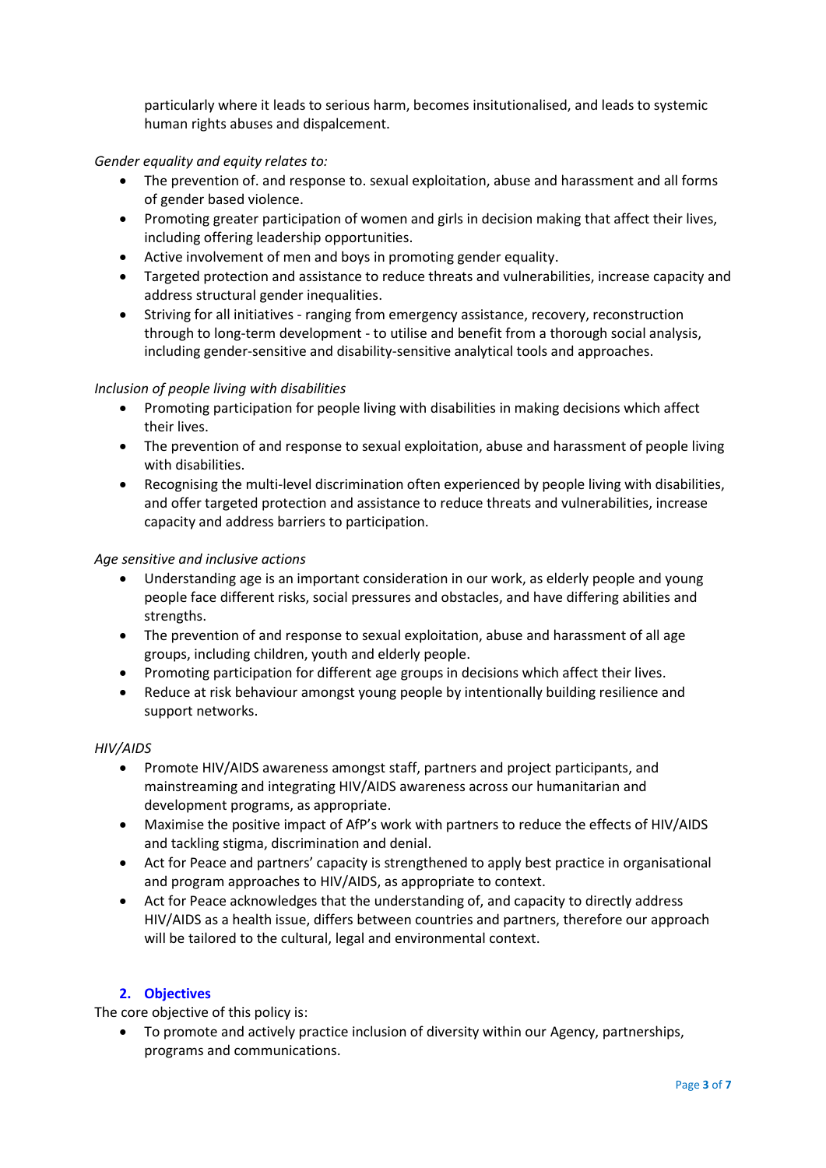particularly where it leads to serious harm, becomes insitutionalised, and leads to systemic human rights abuses and dispalcement.

*Gender equality and equity relates to:*

- The prevention of. and response to. sexual exploitation, abuse and harassment and all forms of gender based violence.
- Promoting greater participation of women and girls in decision making that affect their lives, including offering leadership opportunities.
- Active involvement of men and boys in promoting gender equality.
- Targeted protection and assistance to reduce threats and vulnerabilities, increase capacity and address structural gender inequalities.
- Striving for all initiatives ranging from emergency assistance, recovery, reconstruction through to long-term development - to utilise and benefit from a thorough social analysis, including gender-sensitive and disability-sensitive analytical tools and approaches.

### *Inclusion of people living with disabilities*

- Promoting participation for people living with disabilities in making decisions which affect their lives.
- The prevention of and response to sexual exploitation, abuse and harassment of people living with disabilities.
- Recognising the multi-level discrimination often experienced by people living with disabilities, and offer targeted protection and assistance to reduce threats and vulnerabilities, increase capacity and address barriers to participation.

### *Age sensitive and inclusive actions*

- Understanding age is an important consideration in our work, as elderly people and young people face different risks, social pressures and obstacles, and have differing abilities and strengths.
- The prevention of and response to sexual exploitation, abuse and harassment of all age groups, including children, youth and elderly people.
- Promoting participation for different age groups in decisions which affect their lives.
- Reduce at risk behaviour amongst young people by intentionally building resilience and support networks.

### *HIV/AIDS*

- Promote HIV/AIDS awareness amongst staff, partners and project participants, and mainstreaming and integrating HIV/AIDS awareness across our humanitarian and development programs, as appropriate.
- Maximise the positive impact of AfP's work with partners to reduce the effects of HIV/AIDS and tackling stigma, discrimination and denial.
- Act for Peace and partners' capacity is strengthened to apply best practice in organisational and program approaches to HIV/AIDS, as appropriate to context.
- Act for Peace acknowledges that the understanding of, and capacity to directly address HIV/AIDS as a health issue, differs between countries and partners, therefore our approach will be tailored to the cultural, legal and environmental context.

### **2. Objectives**

The core objective of this policy is:

• To promote and actively practice inclusion of diversity within our Agency, partnerships, programs and communications.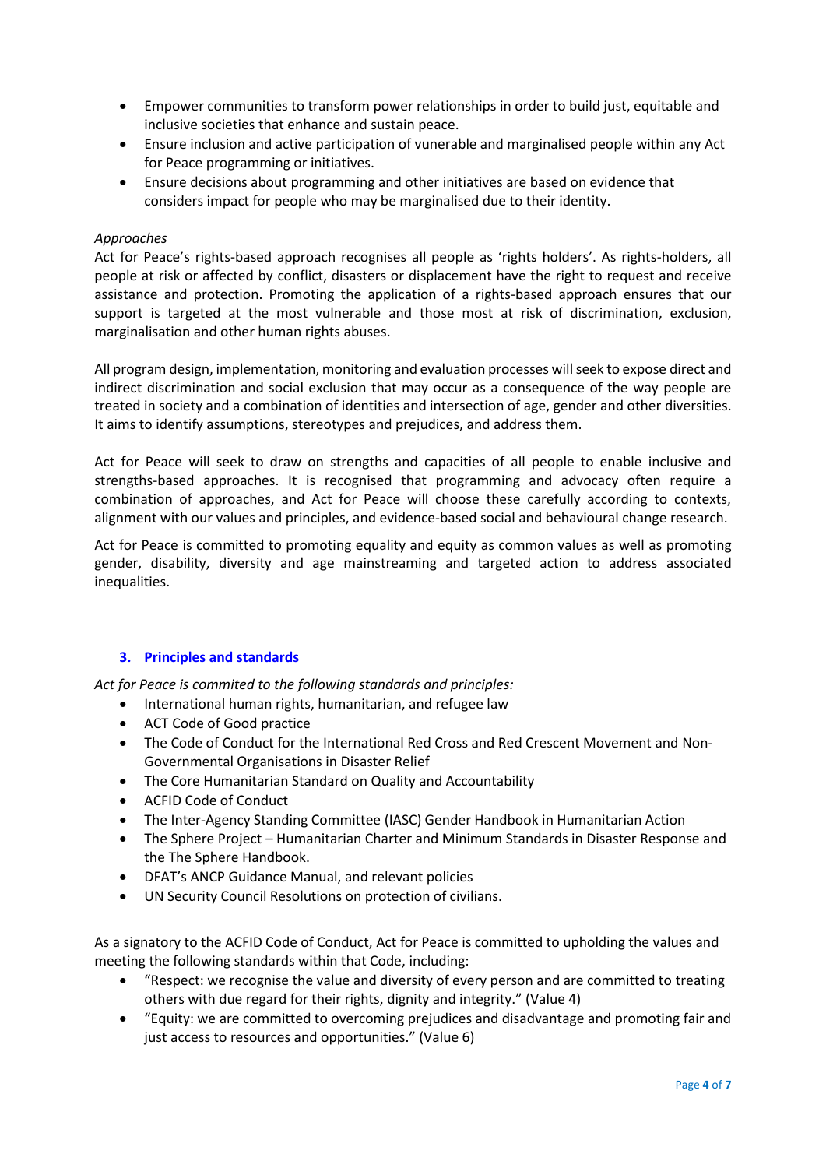- Empower communities to transform power relationships in order to build just, equitable and inclusive societies that enhance and sustain peace.
- Ensure inclusion and active participation of vunerable and marginalised people within any Act for Peace programming or initiatives.
- Ensure decisions about programming and other initiatives are based on evidence that considers impact for people who may be marginalised due to their identity.

#### *Approaches*

Act for Peace's rights-based approach recognises all people as 'rights holders'. As rights-holders, all people at risk or affected by conflict, disasters or displacement have the right to request and receive assistance and protection. Promoting the application of a rights-based approach ensures that our support is targeted at the most vulnerable and those most at risk of discrimination, exclusion, marginalisation and other human rights abuses.

All program design, implementation, monitoring and evaluation processes will seek to expose direct and indirect discrimination and social exclusion that may occur as a consequence of the way people are treated in society and a combination of identities and intersection of age, gender and other diversities. It aims to identify assumptions, stereotypes and prejudices, and address them.

Act for Peace will seek to draw on strengths and capacities of all people to enable inclusive and strengths-based approaches. It is recognised that programming and advocacy often require a combination of approaches, and Act for Peace will choose these carefully according to contexts, alignment with our values and principles, and evidence-based social and behavioural change research.

Act for Peace is committed to promoting equality and equity as common values as well as promoting gender, disability, diversity and age mainstreaming and targeted action to address associated inequalities.

### **3. Principles and standards**

*Act for Peace is commited to the following standards and principles:*

- International human rights, humanitarian, and refugee law
- ACT Code of Good practice
- The Code of Conduct for the International Red Cross and Red Crescent Movement and Non-Governmental Organisations in Disaster Relief
- The Core Humanitarian Standard on Quality and Accountability
- ACFID Code of Conduct
- The Inter-Agency Standing Committee (IASC) Gender Handbook in Humanitarian Action
- The Sphere Project Humanitarian Charter and Minimum Standards in Disaster Response and the The Sphere Handbook.
- DFAT's ANCP Guidance Manual, and relevant policies
- UN Security Council Resolutions on protection of civilians.

As a signatory to the ACFID Code of Conduct, Act for Peace is committed to upholding the values and meeting the following standards within that Code, including:

- "Respect: we recognise the value and diversity of every person and are committed to treating others with due regard for their rights, dignity and integrity." (Value 4)
- "Equity: we are committed to overcoming prejudices and disadvantage and promoting fair and just access to resources and opportunities." (Value 6)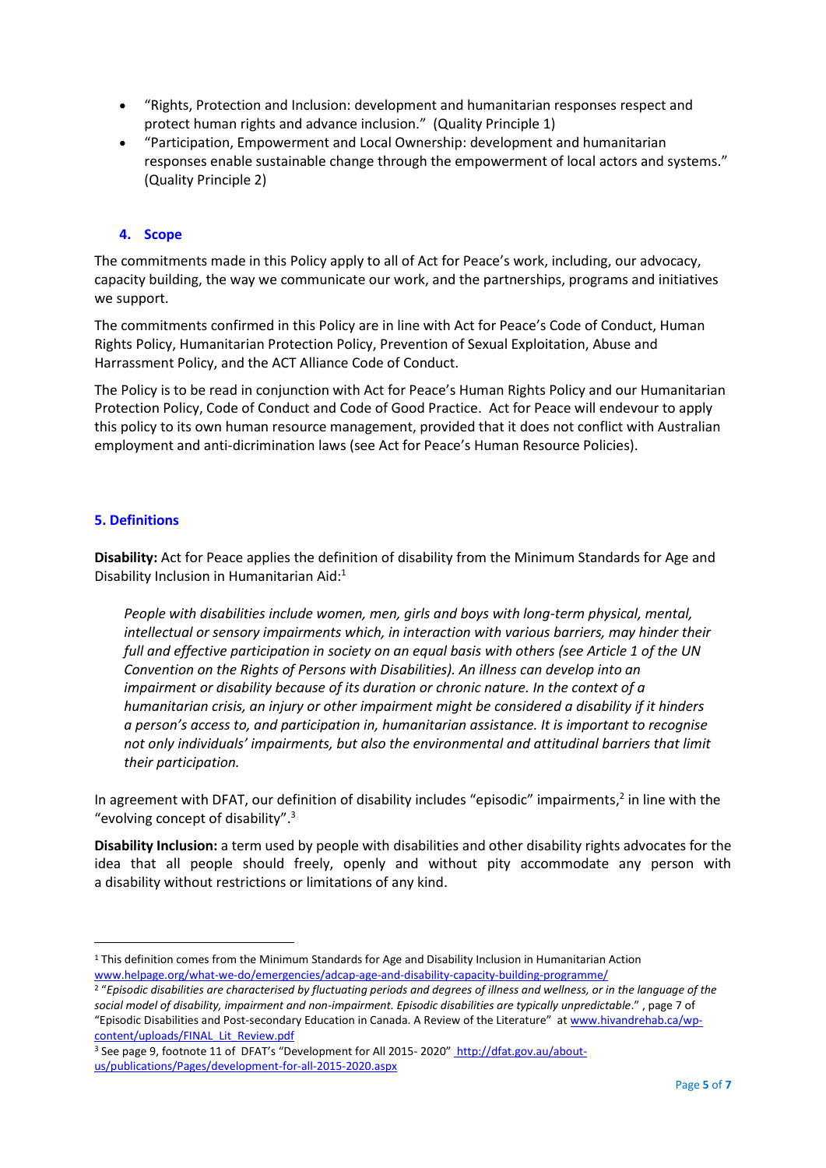- "Rights, Protection and Inclusion: development and humanitarian responses respect and protect human rights and advance inclusion." (Quality Principle 1)
- "Participation, Empowerment and Local Ownership: development and humanitarian responses enable sustainable change through the empowerment of local actors and systems." (Quality Principle 2)

### **4. Scope**

The commitments made in this Policy apply to all of Act for Peace's work, including, our advocacy, capacity building, the way we communicate our work, and the partnerships, programs and initiatives we support.

The commitments confirmed in this Policy are in line with Act for Peace's Code of Conduct, Human Rights Policy, Humanitarian Protection Policy, Prevention of Sexual Exploitation, Abuse and Harrassment Policy, and the ACT Alliance Code of Conduct.

The Policy is to be read in conjunction with Act for Peace's Human Rights Policy and our Humanitarian Protection Policy, Code of Conduct and Code of Good Practice. Act for Peace will endevour to apply this policy to its own human resource management, provided that it does not conflict with Australian employment and anti-dicrimination laws (see Act for Peace's Human Resource Policies).

## **5. Definitions**

**Disability:** Act for Peace applies the definition of disability from the Minimum Standards for Age and Disability Inclusion in Humanitarian Aid:<sup>1</sup>

*People with disabilities include women, men, girls and boys with long-term physical, mental, intellectual or sensory impairments which, in interaction with various barriers, may hinder their full and effective participation in society on an equal basis with others (see Article 1 of the UN Convention on the Rights of Persons with Disabilities). An illness can develop into an impairment or disability because of its duration or chronic nature. In the context of a humanitarian crisis, an injury or other impairment might be considered a disability if it hinders a person's access to, and participation in, humanitarian assistance. It is important to recognise not only individuals' impairments, but also the environmental and attitudinal barriers that limit their participation.* 

In agreement with DFAT, our definition of disability includes "episodic" impairments,<sup>2</sup> in line with the "evolving concept of disability".<sup>3</sup>

**Disability Inclusion:** a term used by people with disabilities and other disability rights advocates for the idea that all people should freely, openly and without pity accommodate any person with a disability without restrictions or limitations of any kind.

<sup>1</sup> This definition comes from the Minimum Standards for Age and Disability Inclusion in Humanitarian Action [www.helpage.org/what-we-do/emergencies/adcap-age-and-disability-capacity-building-programme/](file:///C:/Users/Final%20Documents%20for%20the%20Commission/Policy/www.helpage.org/what-we-do/emergencies/adcap-age-and-disability-capacity-building-programme)

<sup>2</sup> "*Episodic disabilities are characterised by fluctuating periods and degrees of illness and wellness, or in the language of the social model of disability, impairment and non-impairment. Episodic disabilities are typically unpredictable*." , page 7 of "Episodic Disabilities and Post-secondary Education in Canada. A Review of the Literature" at www.hivandrehab.ca/wpcontent/uploads/FINAL\_Lit\_Review.pdf

<sup>3</sup> See page 9, footnote 11 of DFAT's "Development for All 2015- 2020" http://dfat.gov.au/aboutus/publications/Pages/development-for-all-2015-2020.aspx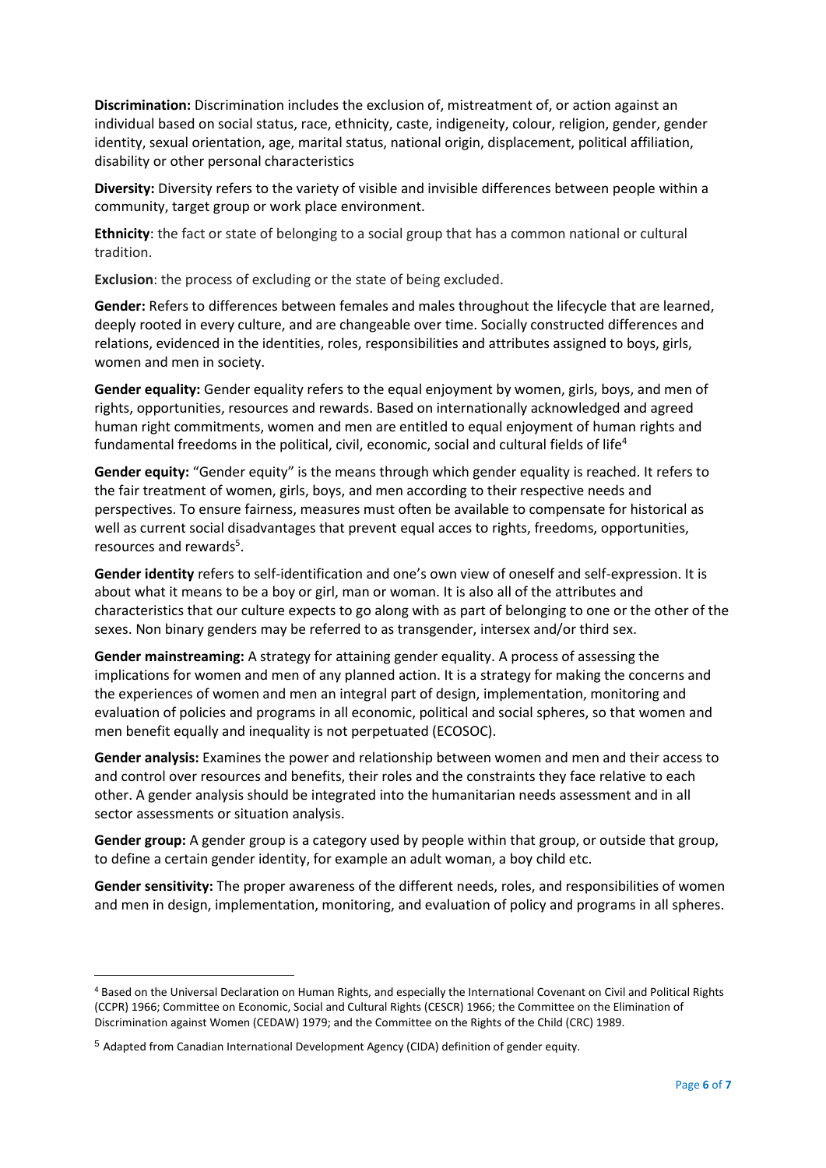**Discrimination:** Discrimination includes the exclusion of, mistreatment of, or action against an individual based on social status, race, ethnicity, caste, indigeneity, colour, religion, gender, gender identity, sexual orientation, age, marital status, national origin, displacement, political affiliation, disability or other personal characteristics

**Diversity:** Diversity refers to the variety of visible and invisible differences between people within a community, target group or work place environment.

**Ethnicity**: the fact or state of belonging to a social group that has a common national or cultural tradition.

**Exclusion**: the process of excluding or the state of being excluded.

**Gender:** Refers to differences between females and males throughout the lifecycle that are learned, deeply rooted in every culture, and are changeable over time. Socially constructed differences and relations, evidenced in the identities, roles, responsibilities and attributes assigned to boys, girls, women and men in society.

**Gender equality:** Gender equality refers to the equal enjoyment by women, girls, boys, and men of rights, opportunities, resources and rewards. Based on internationally acknowledged and agreed human right commitments, women and men are entitled to equal enjoyment of human rights and fundamental freedoms in the political, civil, economic, social and cultural fields of life<sup>4</sup>

**Gender equity:** "Gender equity" is the means through which gender equality is reached. It refers to the fair treatment of women, girls, boys, and men according to their respective needs and perspectives. To ensure fairness, measures must often be available to compensate for historical as well as current social disadvantages that prevent equal acces to rights, freedoms, opportunities, resources and rewards<sup>5</sup>.

**Gender identity** refers to self-identification and one's own view of oneself and self-expression. It is about what it means to be a boy or girl, man or woman. It is also all of the attributes and characteristics that our culture expects to go along with as part of belonging to one or the other of the sexes. Non binary genders may be referred to as transgender, intersex and/or third sex.

**Gender mainstreaming:** A strategy for attaining gender equality. A process of assessing the implications for women and men of any planned action. It is a strategy for making the concerns and the experiences of women and men an integral part of design, implementation, monitoring and evaluation of policies and programs in all economic, political and social spheres, so that women and men benefit equally and inequality is not perpetuated (ECOSOC).

**Gender analysis:** Examines the power and relationship between women and men and their access to and control over resources and benefits, their roles and the constraints they face relative to each other. A gender analysis should be integrated into the humanitarian needs assessment and in all sector assessments or situation analysis.

**Gender group:** A gender group is a category used by people within that group, or outside that group, to define a certain gender identity, for example an adult woman, a boy child etc.

**Gender sensitivity:** The proper awareness of the different needs, roles, and responsibilities of women and men in design, implementation, monitoring, and evaluation of policy and programs in all spheres.

<sup>4</sup> Based on the Universal Declaration on Human Rights, and especially the International Covenant on Civil and Political Rights (CCPR) 1966; Committee on Economic, Social and Cultural Rights (CESCR) 1966; the Committee on the Elimination of Discrimination against Women (CEDAW) 1979; and the Committee on the Rights of the Child (CRC) 1989.

<sup>5</sup> Adapted from Canadian International Development Agency (CIDA) definition of gender equity.